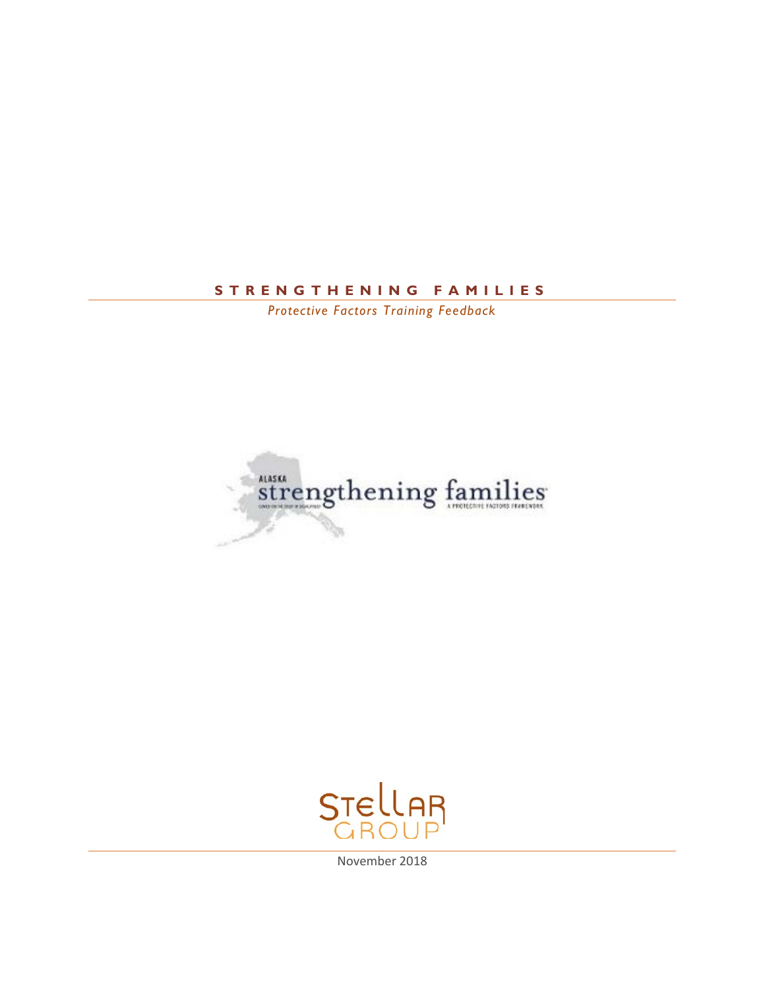# **STRENGTHENING FAMILI E S**

*Protective Factors Training Feedback*





November 2018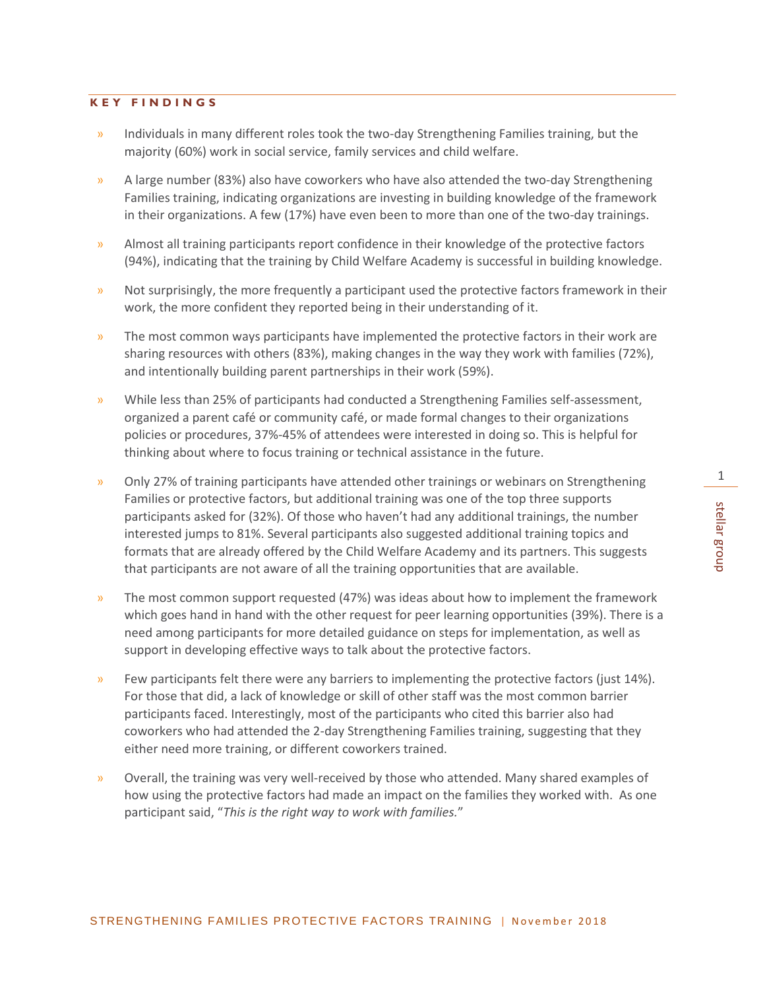# **KEY FINDINGS**

- » Individuals in many different roles took the two-day Strengthening Families training, but the majority (60%) work in social service, family services and child welfare.
- » A large number (83%) also have coworkers who have also attended the two-day Strengthening Families training, indicating organizations are investing in building knowledge of the framework in their organizations. A few (17%) have even been to more than one of the two-day trainings.
- » Almost all training participants report confidence in their knowledge of the protective factors (94%), indicating that the training by Child Welfare Academy is successful in building knowledge.
- » Not surprisingly, the more frequently a participant used the protective factors framework in their work, the more confident they reported being in their understanding of it.
- » The most common ways participants have implemented the protective factors in their work are sharing resources with others (83%), making changes in the way they work with families (72%), and intentionally building parent partnerships in their work (59%).
- » While less than 25% of participants had conducted a Strengthening Families self-assessment, organized a parent café or community café, or made formal changes to their organizations policies or procedures, 37%-45% of attendees were interested in doing so. This is helpful for thinking about where to focus training or technical assistance in the future.
- » Only 27% of training participants have attended other trainings or webinars on Strengthening Families or protective factors, but additional training was one of the top three supports participants asked for (32%). Of those who haven't had any additional trainings, the number interested jumps to 81%. Several participants also suggested additional training topics and formats that are already offered by the Child Welfare Academy and its partners. This suggests that participants are not aware of all the training opportunities that are available.
- » The most common support requested (47%) was ideas about how to implement the framework which goes hand in hand with the other request for peer learning opportunities (39%). There is a need among participants for more detailed guidance on steps for implementation, as well as support in developing effective ways to talk about the protective factors.
- $\lambda$  Few participants felt there were any barriers to implementing the protective factors (just 14%). For those that did, a lack of knowledge or skill of other staff was the most common barrier participants faced. Interestingly, most of the participants who cited this barrier also had coworkers who had attended the 2-day Strengthening Families training, suggesting that they either need more training, or different coworkers trained.
- » Overall, the training was very well-received by those who attended. Many shared examples of how using the protective factors had made an impact on the families they worked with. As one participant said, "*This is the right way to work with families.*"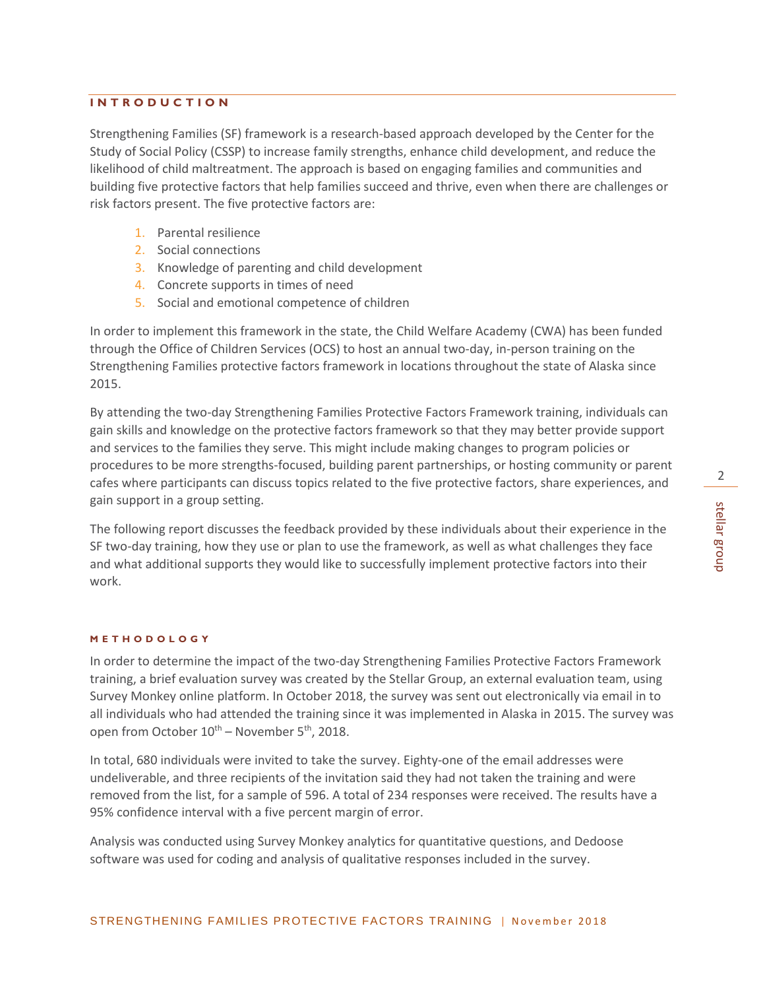# **INTRODUCTION**

Strengthening Families (SF) framework is a research-based approach developed by the Center for the Study of Social Policy (CSSP) to increase family strengths, enhance child development, and reduce the likelihood of child maltreatment. The approach is based on engaging families and communities and building five protective factors that help families succeed and thrive, even when there are challenges or risk factors present. The five protective factors are:

- 1. Parental resilience
- 2. Social connections
- 3. Knowledge of parenting and child development
- 4. Concrete supports in times of need
- 5. Social and emotional competence of children

In order to implement this framework in the state, the Child Welfare Academy (CWA) has been funded through the Office of Children Services (OCS) to host an annual two-day, in-person training on the Strengthening Families protective factors framework in locations throughout the state of Alaska since 2015.

By attending the two-day Strengthening Families Protective Factors Framework training, individuals can gain skills and knowledge on the protective factors framework so that they may better provide support and services to the families they serve. This might include making changes to program policies or procedures to be more strengths-focused, building parent partnerships, or hosting community or parent cafes where participants can discuss topics related to the five protective factors, share experiences, and gain support in a group setting.

The following report discusses the feedback provided by these individuals about their experience in the SF two-day training, how they use or plan to use the framework, as well as what challenges they face and what additional supports they would like to successfully implement protective factors into their work.

### **M ETHODOLOGY**

In order to determine the impact of the two-day Strengthening Families Protective Factors Framework training, a brief evaluation survey was created by the Stellar Group, an external evaluation team, using Survey Monkey online platform. In October 2018, the survey was sent out electronically via email in to all individuals who had attended the training since it was implemented in Alaska in 2015. The survey was open from October  $10^{th}$  – November 5<sup>th</sup>, 2018.

In total, 680 individuals were invited to take the survey. Eighty-one of the email addresses were undeliverable, and three recipients of the invitation said they had not taken the training and were removed from the list, for a sample of 596. A total of 234 responses were received. The results have a 95% confidence interval with a five percent margin of error.

Analysis was conducted using Survey Monkey analytics for quantitative questions, and Dedoose software was used for coding and analysis of qualitative responses included in the survey.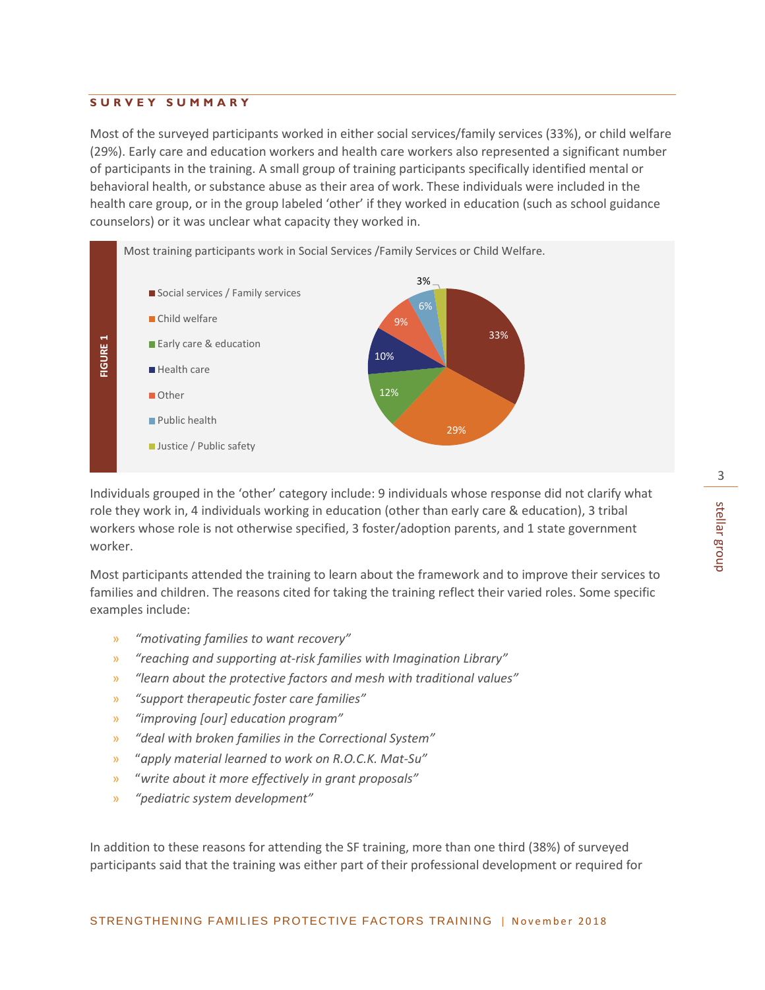3

#### **SURVEY SUMMARY**

Most of the surveyed participants worked in either social services/family services (33%), or child welfare (29%). Early care and education workers and health care workers also represented a significant number of participants in the training. A small group of training participants specifically identified mental or behavioral health, or substance abuse as their area of work. These individuals were included in the health care group, or in the group labeled 'other' if they worked in education (such as school guidance counselors) or it was unclear what capacity they worked in.



Individuals grouped in the 'other' category include: 9 individuals whose response did not clarify what role they work in, 4 individuals working in education (other than early care & education), 3 tribal workers whose role is not otherwise specified, 3 foster/adoption parents, and 1 state government worker.

Most participants attended the training to learn about the framework and to improve their services to families and children. The reasons cited for taking the training reflect their varied roles. Some specific examples include:

- » *"motivating families to want recovery"*
- » *"reaching and supporting at-risk families with Imagination Library"*
- » *"learn about the protective factors and mesh with traditional values"*
- » *"support therapeutic foster care families"*
- » *"improving [our] education program"*
- » *"deal with broken families in the Correctional System"*
- » "*apply material learned to work on R.O.C.K. Mat-Su"*
- » "*write about it more effectively in grant proposals"*
- » *"pediatric system development"*

In addition to these reasons for attending the SF training, more than one third (38%) of surveyed participants said that the training was either part of their professional development or required for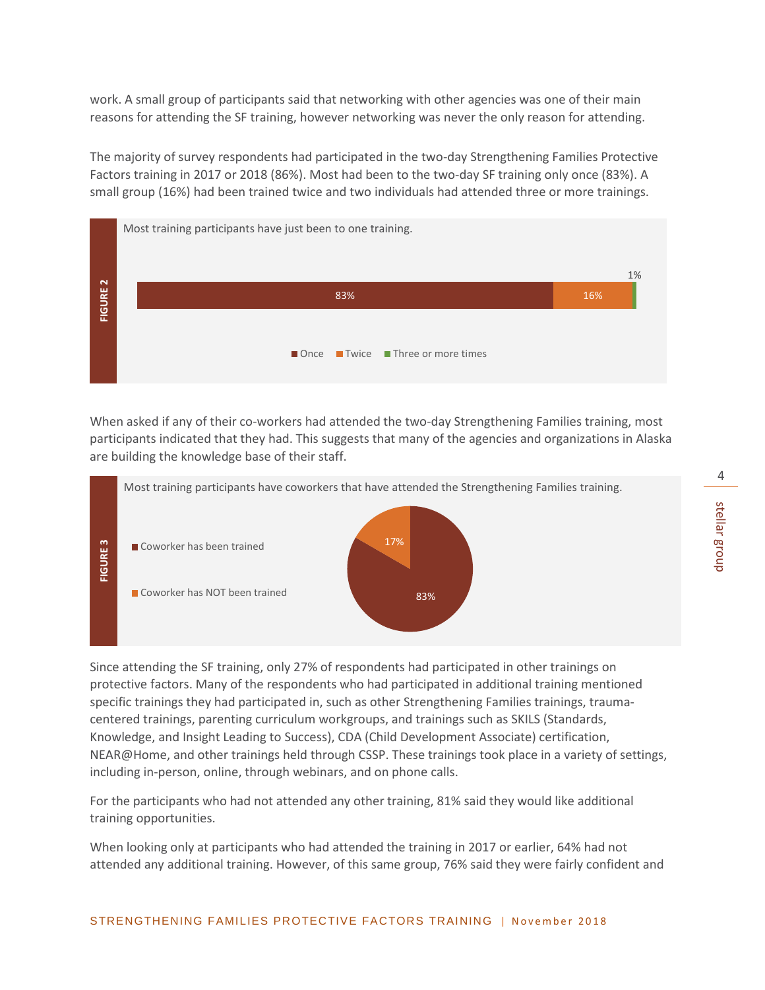work. A small group of participants said that networking with other agencies was one of their main reasons for attending the SF training, however networking was never the only reason for attending.

The majority of survey respondents had participated in the two-day Strengthening Families Protective Factors training in 2017 or 2018 (86%). Most had been to the two-day SF training only once (83%). A small group (16%) had been trained twice and two individuals had attended three or more trainings.



When asked if any of their co-workers had attended the two-day Strengthening Families training, most participants indicated that they had. This suggests that many of the agencies and organizations in Alaska are building the knowledge base of their staff.



Since attending the SF training, only 27% of respondents had participated in other trainings on protective factors. Many of the respondents who had participated in additional training mentioned specific trainings they had participated in, such as other Strengthening Families trainings, traumacentered trainings, parenting curriculum workgroups, and trainings such as SKILS (Standards, Knowledge, and Insight Leading to Success), CDA (Child Development Associate) certification, NEAR@Home, and other trainings held through CSSP. These trainings took place in a variety of settings, including in-person, online, through webinars, and on phone calls.

For the participants who had not attended any other training, 81% said they would like additional training opportunities.

When looking only at participants who had attended the training in 2017 or earlier, 64% had not attended any additional training. However, of this same group, 76% said they were fairly confident and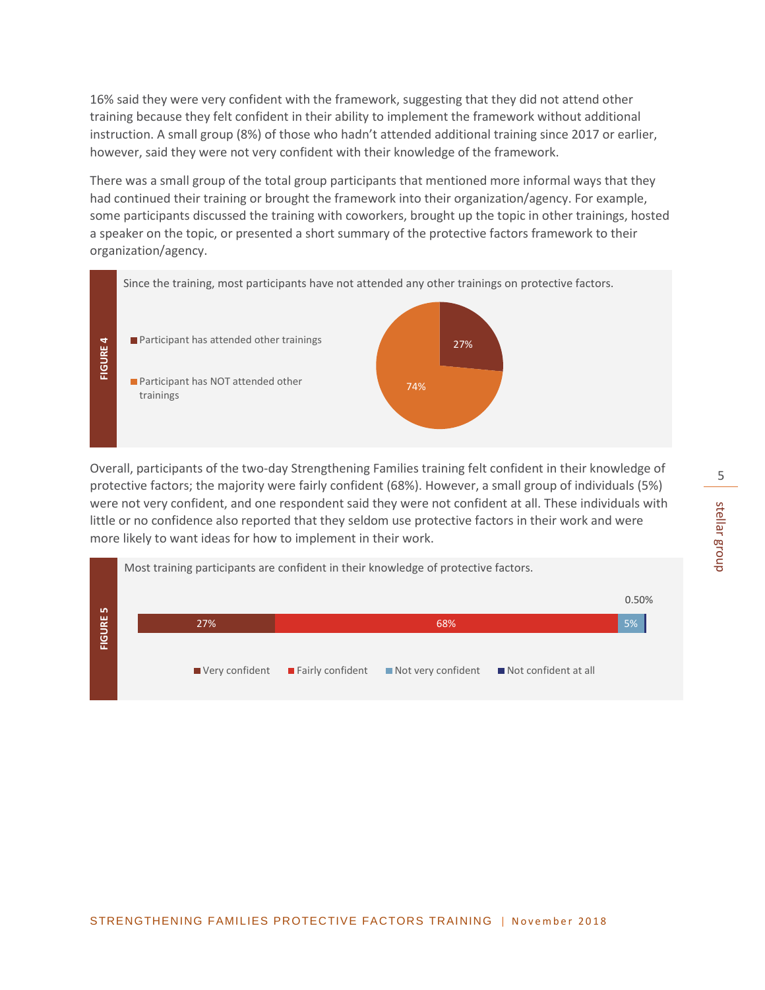16% said they were very confident with the framework, suggesting that they did not attend other training because they felt confident in their ability to implement the framework without additional instruction. A small group (8%) of those who hadn't attended additional training since 2017 or earlier, however, said they were not very confident with their knowledge of the framework.

There was a small group of the total group participants that mentioned more informal ways that they had continued their training or brought the framework into their organization/agency. For example, some participants discussed the training with coworkers, brought up the topic in other trainings, hosted a speaker on the topic, or presented a short summary of the protective factors framework to their organization/agency.



Overall, participants of the two-day Strengthening Families training felt confident in their knowledge of protective factors; the majority were fairly confident (68%). However, a small group of individuals (5%) were not very confident, and one respondent said they were not confident at all. These individuals with little or no confidence also reported that they seldom use protective factors in their work and were more likely to want ideas for how to implement in their work.

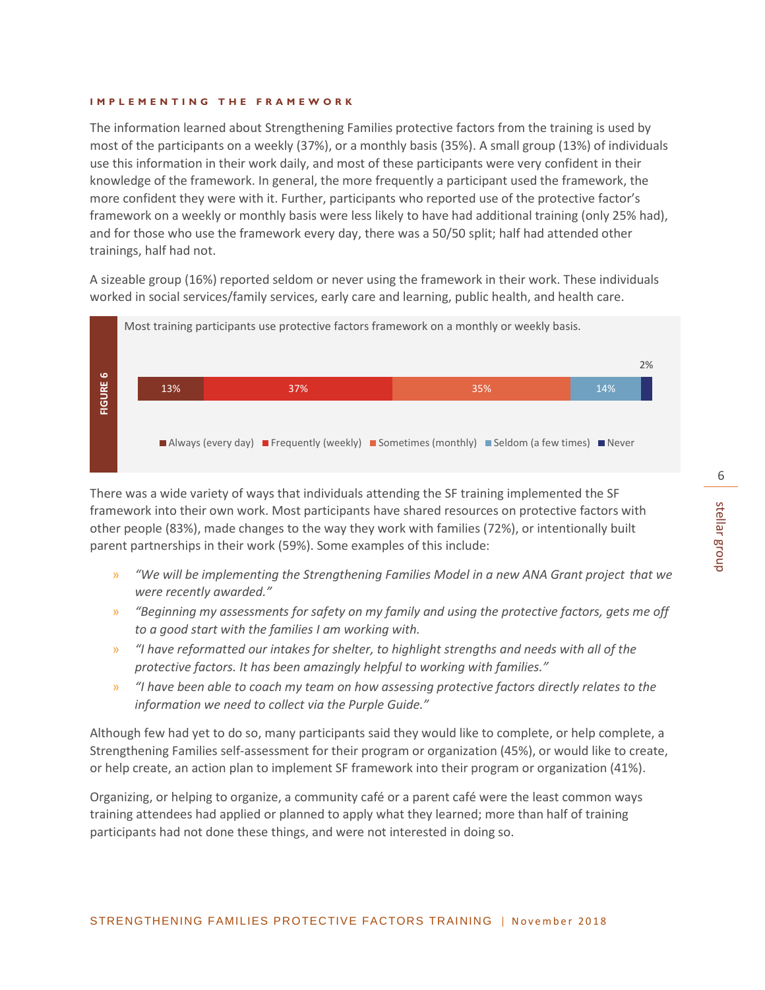The information learned about Strengthening Families protective factors from the training is used by most of the participants on a weekly (37%), or a monthly basis (35%). A small group (13%) of individuals use this information in their work daily, and most of these participants were very confident in their knowledge of the framework. In general, the more frequently a participant used the framework, the more confident they were with it. Further, participants who reported use of the protective factor's framework on a weekly or monthly basis were less likely to have had additional training (only 25% had), and for those who use the framework every day, there was a 50/50 split; half had attended other trainings, half had not.

A sizeable group (16%) reported seldom or never using the framework in their work. These individuals worked in social services/family services, early care and learning, public health, and health care.



There was a wide variety of ways that individuals attending the SF training implemented the SF framework into their own work. Most participants have shared resources on protective factors with other people (83%), made changes to the way they work with families (72%), or intentionally built parent partnerships in their work (59%). Some examples of this include:

- » *"We will be implementing the Strengthening Families Model in a new ANA Grant project that we were recently awarded."*
- » *"Beginning my assessments for safety on my family and using the protective factors, gets me off to a good start with the families I am working with.*
- » *"I have reformatted our intakes for shelter, to highlight strengths and needs with all of the protective factors. It has been amazingly helpful to working with families."*
- » *"I have been able to coach my team on how assessing protective factors directly relates to the information we need to collect via the Purple Guide."*

Although few had yet to do so, many participants said they would like to complete, or help complete, a Strengthening Families self-assessment for their program or organization (45%), or would like to create, or help create, an action plan to implement SF framework into their program or organization (41%).

Organizing, or helping to organize, a community café or a parent café were the least common ways training attendees had applied or planned to apply what they learned; more than half of training participants had not done these things, and were not interested in doing so.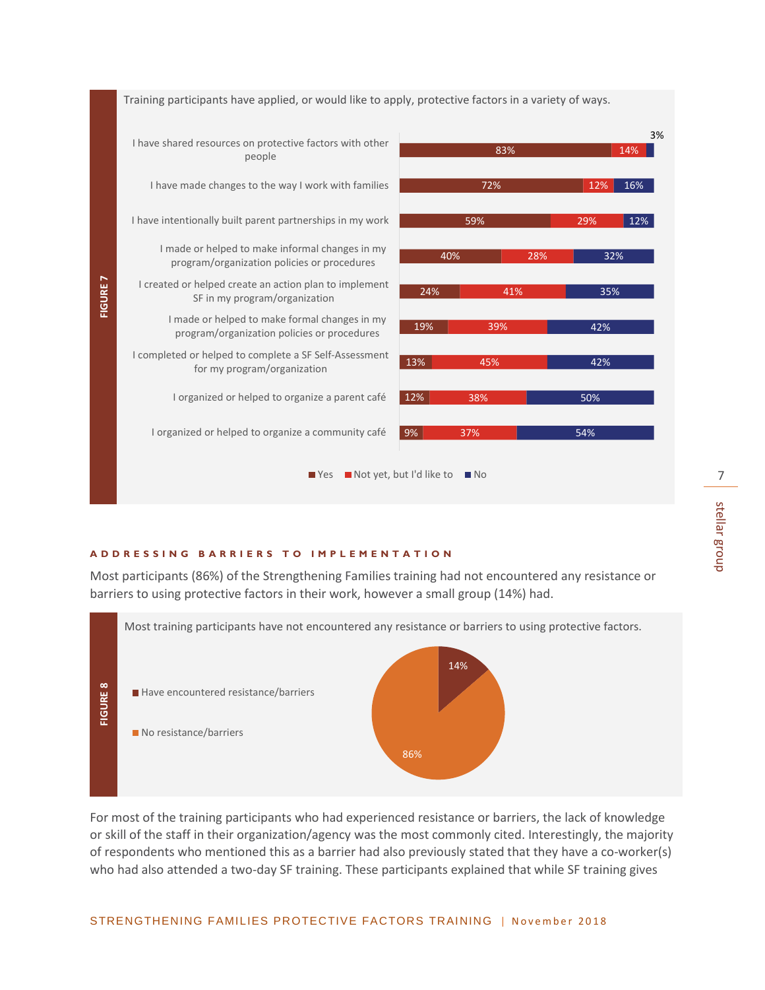

#### **ADDRES S ING BARRIERS TO IMPL EMENTATION**

Most participants (86%) of the Strengthening Families training had not encountered any resistance or barriers to using protective factors in their work, however a small group (14%) had.



For most of the training participants who had experienced resistance or barriers, the lack of knowledge or skill of the staff in their organization/agency was the most commonly cited. Interestingly, the majority of respondents who mentioned this as a barrier had also previously stated that they have a co-worker(s) who had also attended a two-day SF training. These participants explained that while SF training gives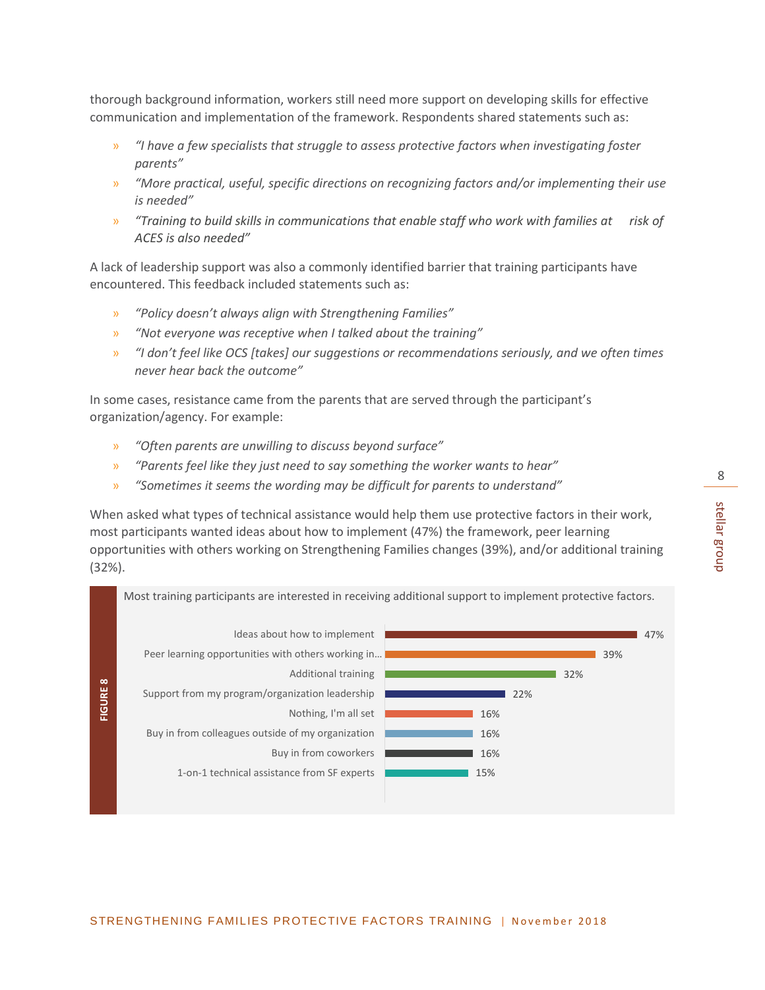thorough background information, workers still need more support on developing skills for effective communication and implementation of the framework. Respondents shared statements such as:

- » *"I have a few specialists that struggle to assess protective factors when investigating foster parents"*
- » *"More practical, useful, specific directions on recognizing factors and/or implementing their use is needed"*
- » *"Training to build skills in communications that enable staff who work with families at risk of ACES is also needed"*

A lack of leadership support was also a commonly identified barrier that training participants have encountered. This feedback included statements such as:

- » *"Policy doesn't always align with Strengthening Families"*
- » *"Not everyone was receptive when I talked about the training"*
- » *"I don't feel like OCS [takes] our suggestions or recommendations seriously, and we often times never hear back the outcome"*

In some cases, resistance came from the parents that are served through the participant's organization/agency. For example:

- » *"Often parents are unwilling to discuss beyond surface"*
- » *"Parents feel like they just need to say something the worker wants to hear"*
- » *"Sometimes it seems the wording may be difficult for parents to understand"*

When asked what types of technical assistance would help them use protective factors in their work, most participants wanted ideas about how to implement (47%) the framework, peer learning opportunities with others working on Strengthening Families changes (39%), and/or additional training (32%).

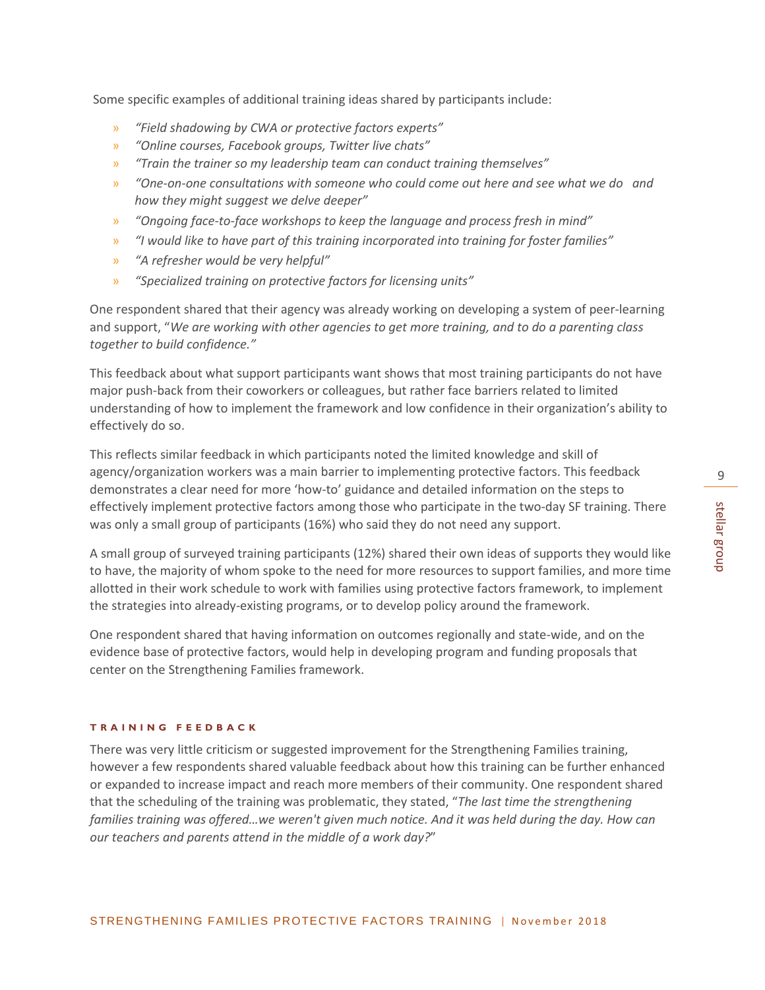Some specific examples of additional training ideas shared by participants include:

- » *"Field shadowing by CWA or protective factors experts"*
- » *"Online courses, Facebook groups, Twitter live chats"*
- » *"Train the trainer so my leadership team can conduct training themselves"*
- » *"One-on-one consultations with someone who could come out here and see what we do and how they might suggest we delve deeper"*
- » *"Ongoing face-to-face workshops to keep the language and process fresh in mind"*
- » *"I would like to have part of this training incorporated into training for foster families"*
- » *"A refresher would be very helpful"*
- » *"Specialized training on protective factors for licensing units"*

One respondent shared that their agency was already working on developing a system of peer-learning and support, "*We are working with other agencies to get more training, and to do a parenting class together to build confidence."*

This feedback about what support participants want shows that most training participants do not have major push-back from their coworkers or colleagues, but rather face barriers related to limited understanding of how to implement the framework and low confidence in their organization's ability to effectively do so.

This reflects similar feedback in which participants noted the limited knowledge and skill of agency/organization workers was a main barrier to implementing protective factors. This feedback demonstrates a clear need for more 'how-to' guidance and detailed information on the steps to effectively implement protective factors among those who participate in the two-day SF training. There was only a small group of participants (16%) who said they do not need any support.

A small group of surveyed training participants (12%) shared their own ideas of supports they would like to have, the majority of whom spoke to the need for more resources to support families, and more time allotted in their work schedule to work with families using protective factors framework, to implement the strategies into already-existing programs, or to develop policy around the framework.

One respondent shared that having information on outcomes regionally and state-wide, and on the evidence base of protective factors, would help in developing program and funding proposals that center on the Strengthening Families framework.

#### **TRAIN ING FEEDBACK**

There was very little criticism or suggested improvement for the Strengthening Families training, however a few respondents shared valuable feedback about how this training can be further enhanced or expanded to increase impact and reach more members of their community. One respondent shared that the scheduling of the training was problematic, they stated, "*The last time the strengthening families training was offered…we weren't given much notice. And it was held during the day. How can our teachers and parents attend in the middle of a work day?*"